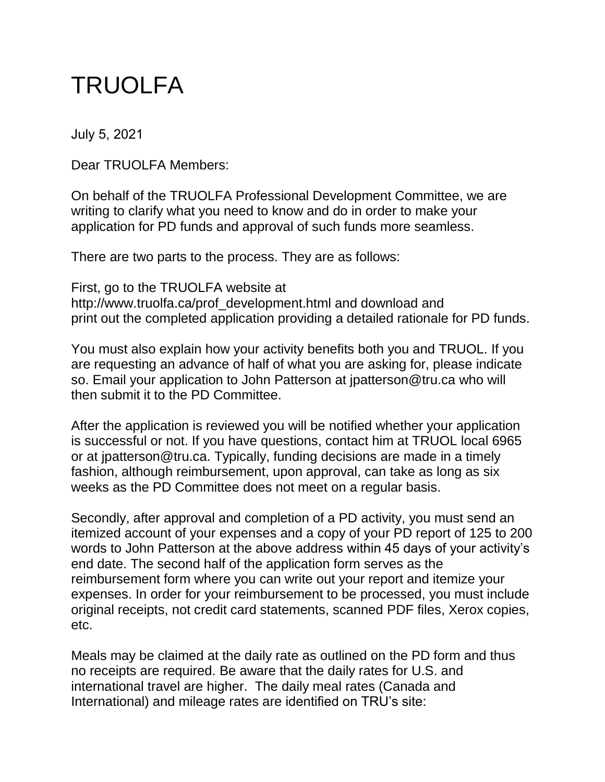## TRUOLFA

July 5, 2021

Dear TRUOLFA Members:

On behalf of the TRUOLFA Professional Development Committee, we are writing to clarify what you need to know and do in order to make your application for PD funds and approval of such funds more seamless.

There are two parts to the process. They are as follows:

First, go to the TRUOLFA website at http://www.truolfa.ca/prof\_development.html and download and print out the completed application providing a detailed rationale for PD funds.

You must also explain how your activity benefits both you and TRUOL. If you are requesting an advance of half of what you are asking for, please indicate so. Email your application to John Patterson at jpatterson@tru.ca who will then submit it to the PD Committee.

After the application is reviewed you will be notified whether your application is successful or not. If you have questions, contact him at TRUOL local 6965 or at jpatterson@tru.ca. Typically, funding decisions are made in a timely fashion, although reimbursement, upon approval, can take as long as six weeks as the PD Committee does not meet on a regular basis.

Secondly, after approval and completion of a PD activity, you must send an itemized account of your expenses and a copy of your PD report of 125 to 200 words to John Patterson at the above address within 45 days of your activity's end date. The second half of the application form serves as the reimbursement form where you can write out your report and itemize your expenses. In order for your reimbursement to be processed, you must include original receipts, not credit card statements, scanned PDF files, Xerox copies, etc.

Meals may be claimed at the daily rate as outlined on the PD form and thus no receipts are required. Be aware that the daily rates for U.S. and international travel are higher. The daily meal rates (Canada and International) and mileage rates are identified on TRU's site: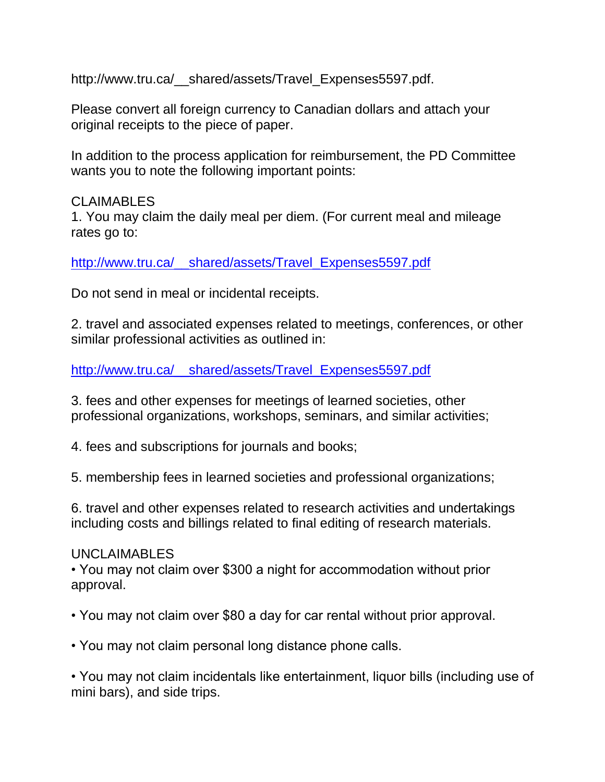http://www.tru.ca/\_\_shared/assets/Travel\_Expenses5597.pdf.

Please convert all foreign currency to Canadian dollars and attach your original receipts to the piece of paper.

In addition to the process application for reimbursement, the PD Committee wants you to note the following important points:

## CLAIMABLES

1. You may claim the daily meal per diem. (For current meal and mileage rates go to:

[http://www.tru.ca/\\_\\_shared/assets/Travel\\_Expenses5597.pdf](http://www.tru.ca/__shared/assets/Travel_Expenses5597.pdf)

Do not send in meal or incidental receipts.

2. travel and associated expenses related to meetings, conferences, or other similar professional activities as outlined in:

http://www.tru.ca/ shared/assets/Travel Expenses5597.pdf

3. fees and other expenses for meetings of learned societies, other professional organizations, workshops, seminars, and similar activities;

4. fees and subscriptions for journals and books;

5. membership fees in learned societies and professional organizations;

6. travel and other expenses related to research activities and undertakings including costs and billings related to final editing of research materials.

## UNCLAIMABLES

• You may not claim over \$300 a night for accommodation without prior approval.

- You may not claim over \$80 a day for car rental without prior approval.
- You may not claim personal long distance phone calls.

• You may not claim incidentals like entertainment, liquor bills (including use of mini bars), and side trips.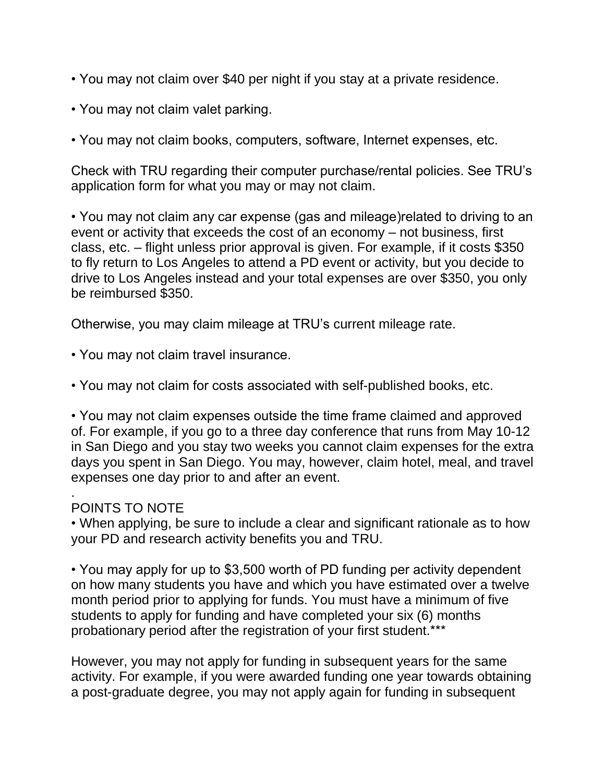- You may not claim over \$40 per night if you stay at a private residence.
- You may not claim valet parking.
- You may not claim books, computers, software, Internet expenses, etc.

Check with TRU regarding their computer purchase/rental policies. See TRU's application form for what you may or may not claim.

• You may not claim any car expense (gas and mileage)related to driving to an event or activity that exceeds the cost of an economy – not business, first class, etc. – flight unless prior approval is given. For example, if it costs \$350 to fly return to Los Angeles to attend a PD event or activity, but you decide to drive to Los Angeles instead and your total expenses are over \$350, you only be reimbursed \$350.

Otherwise, you may claim mileage at TRU's current mileage rate.

- You may not claim travel insurance.
- You may not claim for costs associated with self-published books, etc.

• You may not claim expenses outside the time frame claimed and approved of. For example, if you go to a three day conference that runs from May 10-12 in San Diego and you stay two weeks you cannot claim expenses for the extra days you spent in San Diego. You may, however, claim hotel, meal, and travel expenses one day prior to and after an event.

## . POINTS TO NOTE

• When applying, be sure to include a clear and significant rationale as to how your PD and research activity benefits you and TRU.

• You may apply for up to \$3,500 worth of PD funding per activity dependent on how many students you have and which you have estimated over a twelve month period prior to applying for funds. You must have a minimum of five students to apply for funding and have completed your six (6) months probationary period after the registration of your first student.\*\*\*

However, you may not apply for funding in subsequent years for the same activity. For example, if you were awarded funding one year towards obtaining a post-graduate degree, you may not apply again for funding in subsequent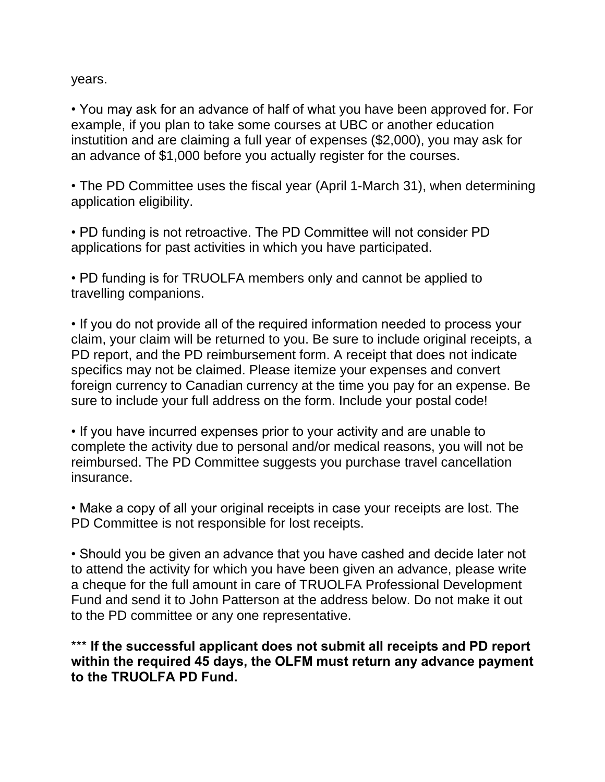years.

• You may ask for an advance of half of what you have been approved for. For example, if you plan to take some courses at UBC or another education instutition and are claiming a full year of expenses (\$2,000), you may ask for an advance of \$1,000 before you actually register for the courses.

• The PD Committee uses the fiscal year (April 1-March 31), when determining application eligibility.

• PD funding is not retroactive. The PD Committee will not consider PD applications for past activities in which you have participated.

• PD funding is for TRUOLFA members only and cannot be applied to travelling companions.

• If you do not provide all of the required information needed to process your claim, your claim will be returned to you. Be sure to include original receipts, a PD report, and the PD reimbursement form. A receipt that does not indicate specifics may not be claimed. Please itemize your expenses and convert foreign currency to Canadian currency at the time you pay for an expense. Be sure to include your full address on the form. Include your postal code!

• If you have incurred expenses prior to your activity and are unable to complete the activity due to personal and/or medical reasons, you will not be reimbursed. The PD Committee suggests you purchase travel cancellation insurance.

• Make a copy of all your original receipts in case your receipts are lost. The PD Committee is not responsible for lost receipts.

• Should you be given an advance that you have cashed and decide later not to attend the activity for which you have been given an advance, please write a cheque for the full amount in care of TRUOLFA Professional Development Fund and send it to John Patterson at the address below. Do not make it out to the PD committee or any one representative.

\*\*\* **If the successful applicant does not submit all receipts and PD report within the required 45 days, the OLFM must return any advance payment to the TRUOLFA PD Fund.**